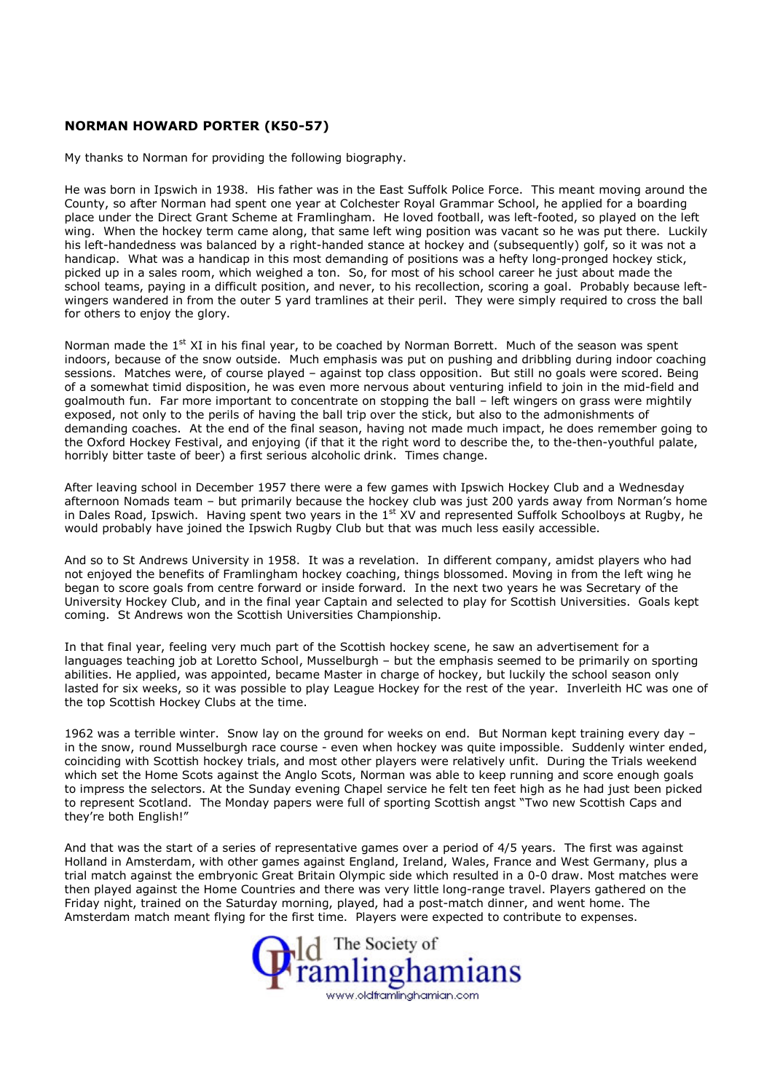## NORMAN HOWARD PORTER (K50-57)

My thanks to Norman for providing the following biography.

He was born in Ipswich in 1938. His father was in the East Suffolk Police Force. This meant moving around the County, so after Norman had spent one year at Colchester Royal Grammar School, he applied for a boarding place under the Direct Grant Scheme at Framlingham. He loved football, was left-footed, so played on the left wing. When the hockey term came along, that same left wing position was vacant so he was put there. Luckily his left-handedness was balanced by a right-handed stance at hockey and (subsequently) golf, so it was not a handicap. What was a handicap in this most demanding of positions was a hefty long-pronged hockey stick, picked up in a sales room, which weighed a ton. So, for most of his school career he just about made the school teams, paying in a difficult position, and never, to his recollection, scoring a goal. Probably because leftwingers wandered in from the outer 5 yard tramlines at their peril. They were simply required to cross the ball for others to enjoy the glory.

Norman made the  $1^{st}$  XI in his final year, to be coached by Norman Borrett. Much of the season was spent indoors, because of the snow outside. Much emphasis was put on pushing and dribbling during indoor coaching sessions. Matches were, of course played – against top class opposition. But still no goals were scored. Being of a somewhat timid disposition, he was even more nervous about venturing infield to join in the mid-field and goalmouth fun. Far more important to concentrate on stopping the ball – left wingers on grass were mightily exposed, not only to the perils of having the ball trip over the stick, but also to the admonishments of demanding coaches. At the end of the final season, having not made much impact, he does remember going to the Oxford Hockey Festival, and enjoying (if that it the right word to describe the, to the-then-youthful palate, horribly bitter taste of beer) a first serious alcoholic drink. Times change.

After leaving school in December 1957 there were a few games with Ipswich Hockey Club and a Wednesday afternoon Nomads team – but primarily because the hockey club was just 200 yards away from Norman's home in Dales Road, Ipswich. Having spent two years in the 1st XV and represented Suffolk Schoolboys at Rugby, he would probably have joined the Ipswich Rugby Club but that was much less easily accessible.

And so to St Andrews University in 1958. It was a revelation. In different company, amidst players who had not enjoyed the benefits of Framlingham hockey coaching, things blossomed. Moving in from the left wing he began to score goals from centre forward or inside forward. In the next two years he was Secretary of the University Hockey Club, and in the final year Captain and selected to play for Scottish Universities. Goals kept coming. St Andrews won the Scottish Universities Championship.

In that final year, feeling very much part of the Scottish hockey scene, he saw an advertisement for a languages teaching job at Loretto School, Musselburgh – but the emphasis seemed to be primarily on sporting abilities. He applied, was appointed, became Master in charge of hockey, but luckily the school season only lasted for six weeks, so it was possible to play League Hockey for the rest of the year. Inverleith HC was one of the top Scottish Hockey Clubs at the time.

1962 was a terrible winter. Snow lay on the ground for weeks on end. But Norman kept training every day – in the snow, round Musselburgh race course - even when hockey was quite impossible. Suddenly winter ended, coinciding with Scottish hockey trials, and most other players were relatively unfit. During the Trials weekend which set the Home Scots against the Anglo Scots, Norman was able to keep running and score enough goals to impress the selectors. At the Sunday evening Chapel service he felt ten feet high as he had just been picked to represent Scotland. The Monday papers were full of sporting Scottish angst "Two new Scottish Caps and they're both English!"

And that was the start of a series of representative games over a period of 4/5 years. The first was against Holland in Amsterdam, with other games against England, Ireland, Wales, France and West Germany, plus a trial match against the embryonic Great Britain Olympic side which resulted in a 0-0 draw. Most matches were then played against the Home Countries and there was very little long-range travel. Players gathered on the Friday night, trained on the Saturday morning, played, had a post-match dinner, and went home. The Amsterdam match meant flying for the first time. Players were expected to contribute to expenses.

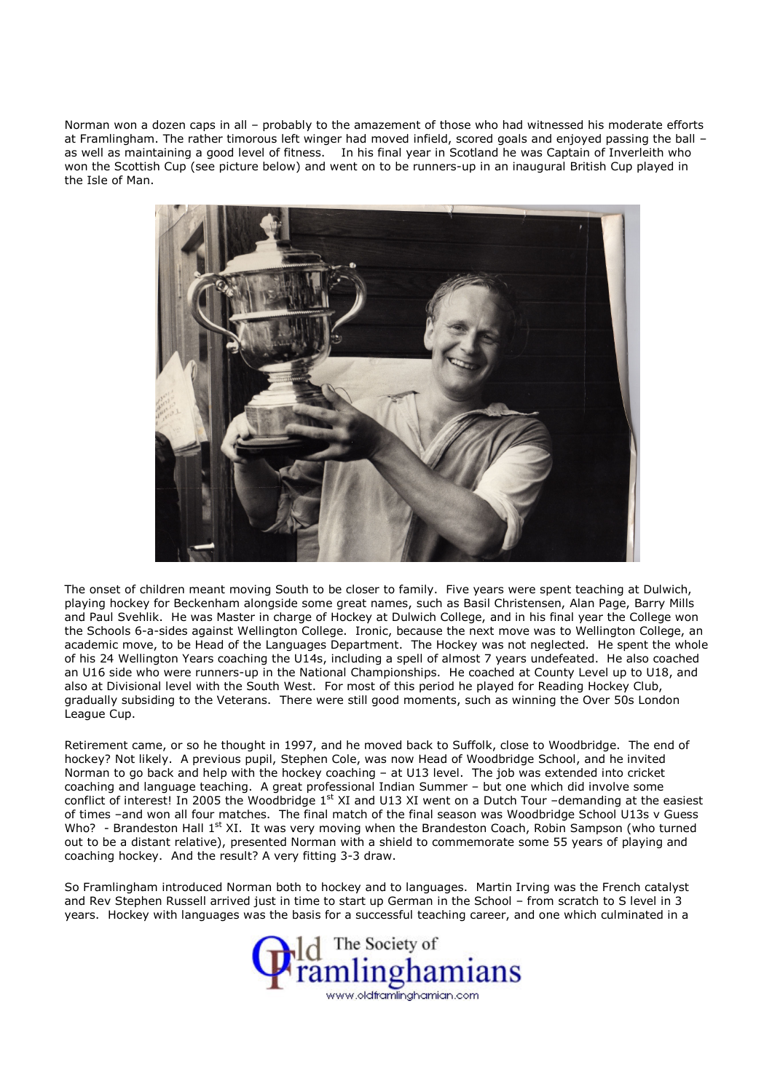Norman won a dozen caps in all – probably to the amazement of those who had witnessed his moderate efforts at Framlingham. The rather timorous left winger had moved infield, scored goals and enjoyed passing the ball – as well as maintaining a good level of fitness. In his final year in Scotland he was Captain of Inverleith who won the Scottish Cup (see picture below) and went on to be runners-up in an inaugural British Cup played in the Isle of Man.



The onset of children meant moving South to be closer to family. Five years were spent teaching at Dulwich, playing hockey for Beckenham alongside some great names, such as Basil Christensen, Alan Page, Barry Mills and Paul Svehlik. He was Master in charge of Hockey at Dulwich College, and in his final year the College won the Schools 6-a-sides against Wellington College. Ironic, because the next move was to Wellington College, an academic move, to be Head of the Languages Department. The Hockey was not neglected. He spent the whole of his 24 Wellington Years coaching the U14s, including a spell of almost 7 years undefeated. He also coached an U16 side who were runners-up in the National Championships. He coached at County Level up to U18, and also at Divisional level with the South West. For most of this period he played for Reading Hockey Club, gradually subsiding to the Veterans. There were still good moments, such as winning the Over 50s London League Cup.

Retirement came, or so he thought in 1997, and he moved back to Suffolk, close to Woodbridge. The end of hockey? Not likely. A previous pupil, Stephen Cole, was now Head of Woodbridge School, and he invited Norman to go back and help with the hockey coaching – at U13 level. The job was extended into cricket coaching and language teaching. A great professional Indian Summer – but one which did involve some conflict of interest! In 2005 the Woodbridge 1<sup>st</sup> XI and U13 XI went on a Dutch Tour -demanding at the easiest of times –and won all four matches. The final match of the final season was Woodbridge School U13s v Guess Who? - Brandeston Hall 1<sup>st</sup> XI. It was very moving when the Brandeston Coach, Robin Sampson (who turned out to be a distant relative), presented Norman with a shield to commemorate some 55 years of playing and coaching hockey. And the result? A very fitting 3-3 draw.

So Framlingham introduced Norman both to hockey and to languages. Martin Irving was the French catalyst and Rev Stephen Russell arrived just in time to start up German in the School – from scratch to S level in 3 years. Hockey with languages was the basis for a successful teaching career, and one which culminated in a